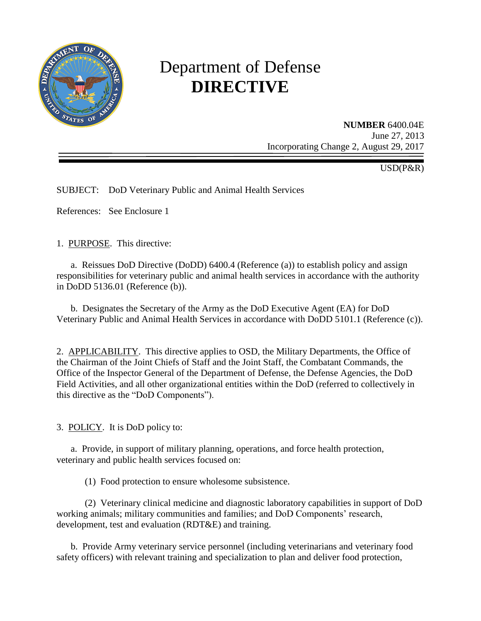

# Department of Defense **DIRECTIVE**

**NUMBER** 6400.04E June 27, 2013 Incorporating Change 2, August 29, 2017

USD(P&R)

SUBJECT: DoD Veterinary Public and Animal Health Services

References: See Enclosure 1

1. PURPOSE. This directive:

a. Reissues DoD Directive (DoDD) 6400.4 (Reference (a)) to establish policy and assign responsibilities for veterinary public and animal health services in accordance with the authority in DoDD 5136.01 (Reference (b)).

b. Designates the Secretary of the Army as the DoD Executive Agent (EA) for DoD Veterinary Public and Animal Health Services in accordance with DoDD 5101.1 (Reference (c)).

2. APPLICABILITY. This directive applies to OSD, the Military Departments, the Office of the Chairman of the Joint Chiefs of Staff and the Joint Staff, the Combatant Commands, the Office of the Inspector General of the Department of Defense, the Defense Agencies, the DoD Field Activities, and all other organizational entities within the DoD (referred to collectively in this directive as the "DoD Components").

3. POLICY. It is DoD policy to:

a. Provide, in support of military planning, operations, and force health protection, veterinary and public health services focused on:

(1) Food protection to ensure wholesome subsistence.

(2) Veterinary clinical medicine and diagnostic laboratory capabilities in support of DoD working animals; military communities and families; and DoD Components' research, development, test and evaluation (RDT&E) and training.

b. Provide Army veterinary service personnel (including veterinarians and veterinary food safety officers) with relevant training and specialization to plan and deliver food protection,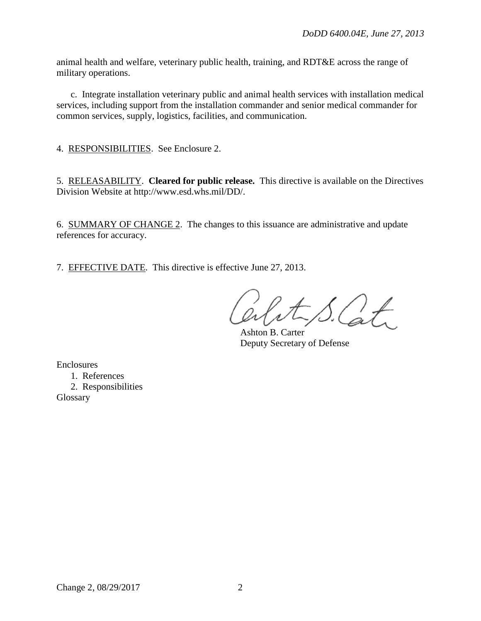animal health and welfare, veterinary public health, training, and RDT&E across the range of military operations.

 c. Integrate installation veterinary public and animal health services with installation medical services, including support from the installation commander and senior medical commander for common services, supply, logistics, facilities, and communication.

4. RESPONSIBILITIES. See Enclosure 2.

5. RELEASABILITY. **Cleared for public release.** This directive is available on the Directives Division Website at http://www.esd.whs.mil/DD/.

6. SUMMARY OF CHANGE 2. The changes to this issuance are administrative and update references for accuracy.

7. EFFECTIVE DATE. This directive is effective June 27, 2013.

 $\left( \begin{array}{c} \end{array} \right)$ 

Ashton B. Carter Deputy Secretary of Defense

Enclosures

 1. References 2. Responsibilities Glossary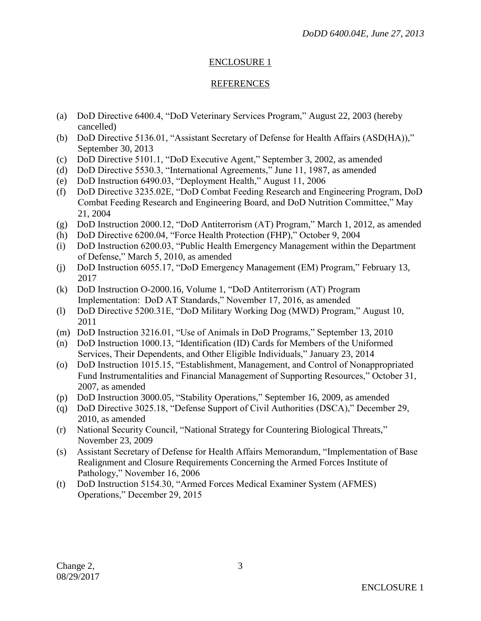## ENCLOSURE 1

## REFERENCES

- (a) DoD Directive 6400.4, "DoD Veterinary Services Program," August 22, 2003 (hereby cancelled)
- (b) DoD Directive 5136.01, "Assistant Secretary of Defense for Health Affairs (ASD(HA))," September 30, 2013
- (c) DoD Directive 5101.1, "DoD Executive Agent," September 3, 2002, as amended
- (d) DoD Directive 5530.3, "International Agreements," June 11, 1987, as amended
- (e) DoD Instruction 6490.03, "Deployment Health," August 11, 2006
- (f) DoD Directive 3235.02E, "DoD Combat Feeding Research and Engineering Program, DoD Combat Feeding Research and Engineering Board, and DoD Nutrition Committee," May 21, 2004
- (g) DoD Instruction 2000.12, "DoD Antiterrorism (AT) Program," March 1, 2012, as amended
- (h) DoD Directive 6200.04, "Force Health Protection (FHP)," October 9, 2004
- (i) DoD Instruction 6200.03, "Public Health Emergency Management within the Department of Defense," March 5, 2010, as amended
- (j) DoD Instruction 6055.17, "DoD Emergency Management (EM) Program," February 13, 2017
- (k) DoD Instruction O-2000.16, Volume 1, "DoD Antiterrorism (AT) Program Implementation: DoD AT Standards," November 17, 2016, as amended
- (l) DoD Directive 5200.31E, "DoD Military Working Dog (MWD) Program," August 10, 2011
- (m) DoD Instruction 3216.01, "Use of Animals in DoD Programs," September 13, 2010
- (n) DoD Instruction 1000.13, "Identification (ID) Cards for Members of the Uniformed Services, Their Dependents, and Other Eligible Individuals," January 23, 2014
- (o) DoD Instruction 1015.15, "Establishment, Management, and Control of Nonappropriated Fund Instrumentalities and Financial Management of Supporting Resources," October 31, 2007, as amended
- (p) DoD Instruction 3000.05, "Stability Operations," September 16, 2009, as amended
- (q) DoD Directive 3025.18, "Defense Support of Civil Authorities (DSCA)," December 29, 2010, as amended
- (r) National Security Council, "National Strategy for Countering Biological Threats," November 23, 2009
- (s) Assistant Secretary of Defense for Health Affairs Memorandum, "Implementation of Base Realignment and Closure Requirements Concerning the Armed Forces Institute of Pathology," November 16, 2006
- (t) DoD Instruction 5154.30, "Armed Forces Medical Examiner System (AFMES) Operations," December 29, 2015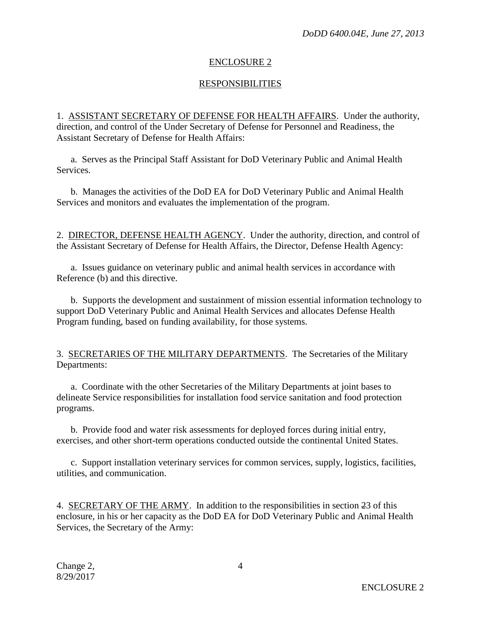## ENCLOSURE 2

#### RESPONSIBILITIES

1. ASSISTANT SECRETARY OF DEFENSE FOR HEALTH AFFAIRS. Under the authority, direction, and control of the Under Secretary of Defense for Personnel and Readiness, the Assistant Secretary of Defense for Health Affairs:

a. Serves as the Principal Staff Assistant for DoD Veterinary Public and Animal Health Services.

b. Manages the activities of the DoD EA for DoD Veterinary Public and Animal Health Services and monitors and evaluates the implementation of the program.

2. DIRECTOR, DEFENSE HEALTH AGENCY. Under the authority, direction, and control of the Assistant Secretary of Defense for Health Affairs, the Director, Defense Health Agency:

a. Issues guidance on veterinary public and animal health services in accordance with Reference (b) and this directive.

b. Supports the development and sustainment of mission essential information technology to support DoD Veterinary Public and Animal Health Services and allocates Defense Health Program funding, based on funding availability, for those systems.

3. SECRETARIES OF THE MILITARY DEPARTMENTS. The Secretaries of the Military Departments:

a. Coordinate with the other Secretaries of the Military Departments at joint bases to delineate Service responsibilities for installation food service sanitation and food protection programs.

b. Provide food and water risk assessments for deployed forces during initial entry, exercises, and other short-term operations conducted outside the continental United States.

c. Support installation veterinary services for common services, supply, logistics, facilities, utilities, and communication.

4. SECRETARY OF THE ARMY. In addition to the responsibilities in section 23 of this enclosure, in his or her capacity as the DoD EA for DoD Veterinary Public and Animal Health Services, the Secretary of the Army: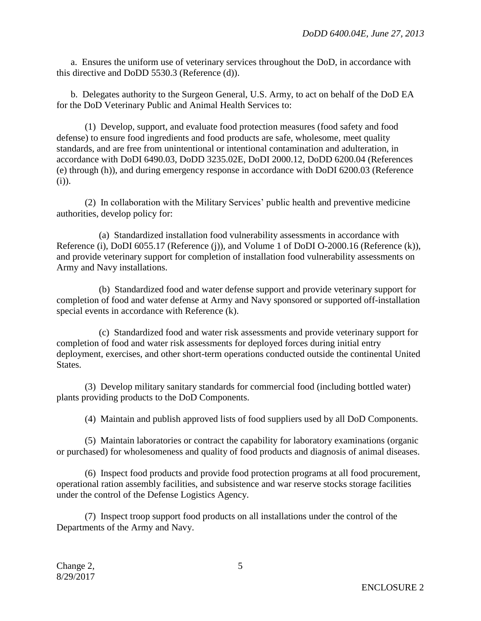a. Ensures the uniform use of veterinary services throughout the DoD, in accordance with this directive and DoDD 5530.3 (Reference (d)).

b. Delegates authority to the Surgeon General, U.S. Army, to act on behalf of the DoD EA for the DoD Veterinary Public and Animal Health Services to:

(1) Develop, support, and evaluate food protection measures (food safety and food defense) to ensure food ingredients and food products are safe, wholesome, meet quality standards, and are free from unintentional or intentional contamination and adulteration, in accordance with DoDI 6490.03, DoDD 3235.02E, DoDI 2000.12, DoDD 6200.04 (References (e) through (h)), and during emergency response in accordance with DoDI 6200.03 (Reference (i)).

(2) In collaboration with the Military Services' public health and preventive medicine authorities, develop policy for:

(a) Standardized installation food vulnerability assessments in accordance with Reference (i), DoDI 6055.17 (Reference (j)), and Volume 1 of DoDI O-2000.16 (Reference (k)), and provide veterinary support for completion of installation food vulnerability assessments on Army and Navy installations.

(b) Standardized food and water defense support and provide veterinary support for completion of food and water defense at Army and Navy sponsored or supported off-installation special events in accordance with Reference (k).

(c) Standardized food and water risk assessments and provide veterinary support for completion of food and water risk assessments for deployed forces during initial entry deployment, exercises, and other short-term operations conducted outside the continental United States.

(3) Develop military sanitary standards for commercial food (including bottled water) plants providing products to the DoD Components.

(4) Maintain and publish approved lists of food suppliers used by all DoD Components.

(5) Maintain laboratories or contract the capability for laboratory examinations (organic or purchased) for wholesomeness and quality of food products and diagnosis of animal diseases.

(6) Inspect food products and provide food protection programs at all food procurement, operational ration assembly facilities, and subsistence and war reserve stocks storage facilities under the control of the Defense Logistics Agency.

(7) Inspect troop support food products on all installations under the control of the Departments of the Army and Navy.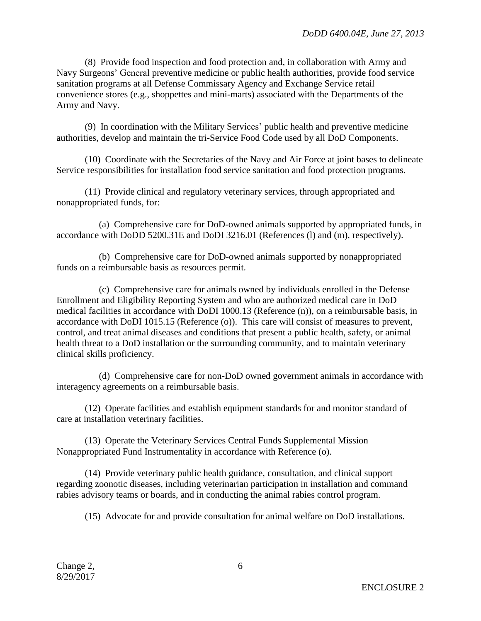(8) Provide food inspection and food protection and, in collaboration with Army and Navy Surgeons' General preventive medicine or public health authorities, provide food service sanitation programs at all Defense Commissary Agency and Exchange Service retail convenience stores (e.g., shoppettes and mini-marts) associated with the Departments of the Army and Navy.

(9) In coordination with the Military Services' public health and preventive medicine authorities, develop and maintain the tri-Service Food Code used by all DoD Components.

(10) Coordinate with the Secretaries of the Navy and Air Force at joint bases to delineate Service responsibilities for installation food service sanitation and food protection programs.

(11) Provide clinical and regulatory veterinary services, through appropriated and nonappropriated funds, for:

(a) Comprehensive care for DoD-owned animals supported by appropriated funds, in accordance with DoDD 5200.31E and DoDI 3216.01 (References (l) and (m), respectively).

(b) Comprehensive care for DoD-owned animals supported by nonappropriated funds on a reimbursable basis as resources permit.

(c) Comprehensive care for animals owned by individuals enrolled in the Defense Enrollment and Eligibility Reporting System and who are authorized medical care in DoD medical facilities in accordance with DoDI 1000.13 (Reference (n)), on a reimbursable basis, in accordance with DoDI 1015.15 (Reference (o)). This care will consist of measures to prevent, control, and treat animal diseases and conditions that present a public health, safety, or animal health threat to a DoD installation or the surrounding community, and to maintain veterinary clinical skills proficiency.

(d) Comprehensive care for non-DoD owned government animals in accordance with interagency agreements on a reimbursable basis.

(12) Operate facilities and establish equipment standards for and monitor standard of care at installation veterinary facilities.

(13) Operate the Veterinary Services Central Funds Supplemental Mission Nonappropriated Fund Instrumentality in accordance with Reference (o).

(14) Provide veterinary public health guidance, consultation, and clinical support regarding zoonotic diseases, including veterinarian participation in installation and command rabies advisory teams or boards, and in conducting the animal rabies control program.

(15) Advocate for and provide consultation for animal welfare on DoD installations.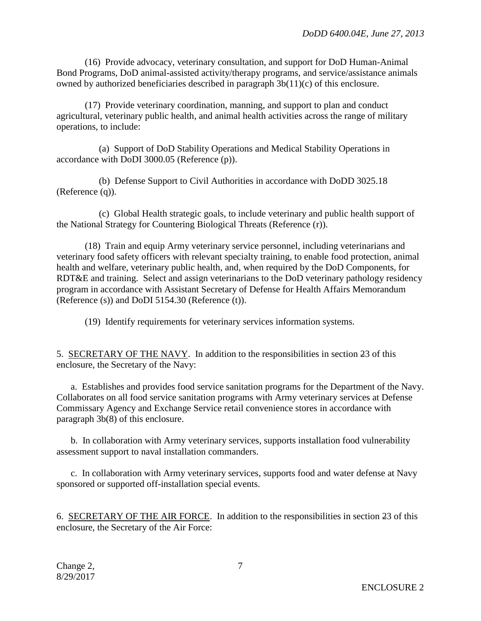(16) Provide advocacy, veterinary consultation, and support for DoD Human-Animal Bond Programs, DoD animal-assisted activity/therapy programs, and service/assistance animals owned by authorized beneficiaries described in paragraph 3b(11)(c) of this enclosure.

(17) Provide veterinary coordination, manning, and support to plan and conduct agricultural, veterinary public health, and animal health activities across the range of military operations, to include:

(a) Support of DoD Stability Operations and Medical Stability Operations in accordance with DoDI 3000.05 (Reference (p)).

(b) Defense Support to Civil Authorities in accordance with DoDD 3025.18 (Reference (q)).

(c) Global Health strategic goals, to include veterinary and public health support of the National Strategy for Countering Biological Threats (Reference (r)).

(18) Train and equip Army veterinary service personnel, including veterinarians and veterinary food safety officers with relevant specialty training, to enable food protection, animal health and welfare, veterinary public health, and, when required by the DoD Components, for RDT&E and training. Select and assign veterinarians to the DoD veterinary pathology residency program in accordance with Assistant Secretary of Defense for Health Affairs Memorandum (Reference (s)) and DoDI 5154.30 (Reference (t)).

(19) Identify requirements for veterinary services information systems.

5. SECRETARY OF THE NAVY. In addition to the responsibilities in section 23 of this enclosure, the Secretary of the Navy:

a. Establishes and provides food service sanitation programs for the Department of the Navy. Collaborates on all food service sanitation programs with Army veterinary services at Defense Commissary Agency and Exchange Service retail convenience stores in accordance with paragraph 3b(8) of this enclosure.

b. In collaboration with Army veterinary services, supports installation food vulnerability assessment support to naval installation commanders.

c. In collaboration with Army veterinary services, supports food and water defense at Navy sponsored or supported off-installation special events.

6. SECRETARY OF THE AIR FORCE. In addition to the responsibilities in section 23 of this enclosure, the Secretary of the Air Force: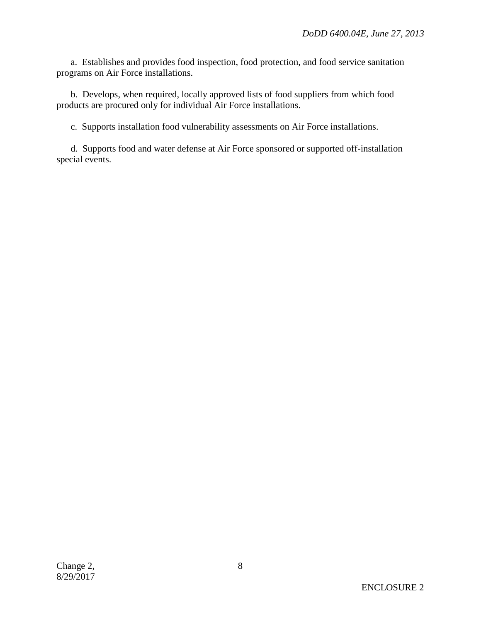a. Establishes and provides food inspection, food protection, and food service sanitation programs on Air Force installations.

b. Develops, when required, locally approved lists of food suppliers from which food products are procured only for individual Air Force installations.

c. Supports installation food vulnerability assessments on Air Force installations.

d. Supports food and water defense at Air Force sponsored or supported off-installation special events.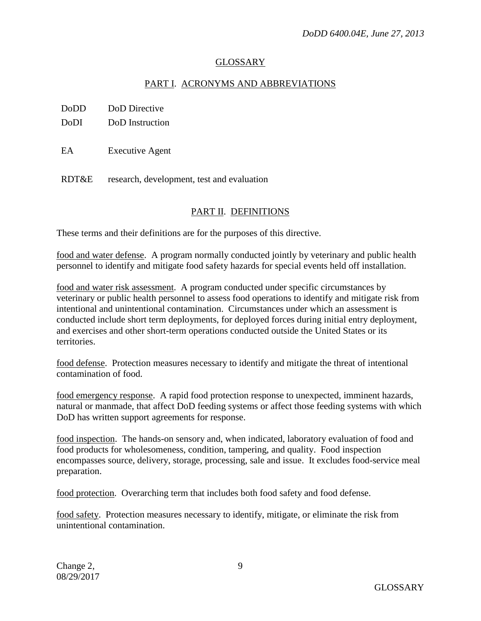## GLOSSARY

# PART I. ACRONYMS AND ABBREVIATIONS

DoDD DoD Directive

DoDI DoD Instruction

EA Executive Agent

RDT&E research, development, test and evaluation

# PART II. DEFINITIONS

These terms and their definitions are for the purposes of this directive.

food and water defense. A program normally conducted jointly by veterinary and public health personnel to identify and mitigate food safety hazards for special events held off installation.

food and water risk assessment. A program conducted under specific circumstances by veterinary or public health personnel to assess food operations to identify and mitigate risk from intentional and unintentional contamination. Circumstances under which an assessment is conducted include short term deployments, for deployed forces during initial entry deployment, and exercises and other short-term operations conducted outside the United States or its territories.

food defense. Protection measures necessary to identify and mitigate the threat of intentional contamination of food.

food emergency response. A rapid food protection response to unexpected, imminent hazards, natural or manmade, that affect DoD feeding systems or affect those feeding systems with which DoD has written support agreements for response.

food inspection. The hands-on sensory and, when indicated, laboratory evaluation of food and food products for wholesomeness, condition, tampering, and quality. Food inspection encompasses source, delivery, storage, processing, sale and issue. It excludes food-service meal preparation.

food protection. Overarching term that includes both food safety and food defense.

food safety. Protection measures necessary to identify, mitigate, or eliminate the risk from unintentional contamination.